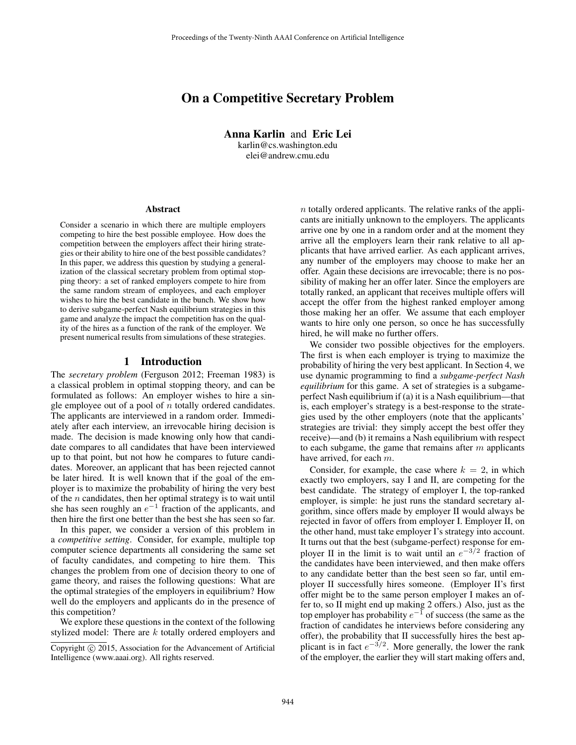# On a Competitive Secretary Problem

Anna Karlin and Eric Lei karlin@cs.washington.edu elei@andrew.cmu.edu

#### Abstract

Consider a scenario in which there are multiple employers competing to hire the best possible employee. How does the competition between the employers affect their hiring strategies or their ability to hire one of the best possible candidates? In this paper, we address this question by studying a generalization of the classical secretary problem from optimal stopping theory: a set of ranked employers compete to hire from the same random stream of employees, and each employer wishes to hire the best candidate in the bunch. We show how to derive subgame-perfect Nash equilibrium strategies in this game and analyze the impact the competition has on the quality of the hires as a function of the rank of the employer. We present numerical results from simulations of these strategies.

#### 1 Introduction

The *secretary problem* (Ferguson 2012; Freeman 1983) is a classical problem in optimal stopping theory, and can be formulated as follows: An employer wishes to hire a single employee out of a pool of  $n$  totally ordered candidates. The applicants are interviewed in a random order. Immediately after each interview, an irrevocable hiring decision is made. The decision is made knowing only how that candidate compares to all candidates that have been interviewed up to that point, but not how he compares to future candidates. Moreover, an applicant that has been rejected cannot be later hired. It is well known that if the goal of the employer is to maximize the probability of hiring the very best of the  $n$  candidates, then her optimal strategy is to wait until she has seen roughly an  $e^{-1}$  fraction of the applicants, and then hire the first one better than the best she has seen so far.

In this paper, we consider a version of this problem in a *competitive setting*. Consider, for example, multiple top computer science departments all considering the same set of faculty candidates, and competing to hire them. This changes the problem from one of decision theory to one of game theory, and raises the following questions: What are the optimal strategies of the employers in equilibrium? How well do the employers and applicants do in the presence of this competition?

We explore these questions in the context of the following stylized model: There are k totally ordered employers and

 $n$  totally ordered applicants. The relative ranks of the applicants are initially unknown to the employers. The applicants arrive one by one in a random order and at the moment they arrive all the employers learn their rank relative to all applicants that have arrived earlier. As each applicant arrives, any number of the employers may choose to make her an offer. Again these decisions are irrevocable; there is no possibility of making her an offer later. Since the employers are totally ranked, an applicant that receives multiple offers will accept the offer from the highest ranked employer among those making her an offer. We assume that each employer wants to hire only one person, so once he has successfully hired, he will make no further offers.

We consider two possible objectives for the employers. The first is when each employer is trying to maximize the probability of hiring the very best applicant. In Section 4, we use dynamic programming to find a *subgame-perfect Nash equilibrium* for this game. A set of strategies is a subgameperfect Nash equilibrium if (a) it is a Nash equilibrium—that is, each employer's strategy is a best-response to the strategies used by the other employers (note that the applicants' strategies are trivial: they simply accept the best offer they receive)—and (b) it remains a Nash equilibrium with respect to each subgame, the game that remains after  $m$  applicants have arrived, for each m.

Consider, for example, the case where  $k = 2$ , in which exactly two employers, say I and II, are competing for the best candidate. The strategy of employer I, the top-ranked employer, is simple: he just runs the standard secretary algorithm, since offers made by employer II would always be rejected in favor of offers from employer I. Employer II, on the other hand, must take employer I's strategy into account. It turns out that the best (subgame-perfect) response for employer II in the limit is to wait until an  $e^{-3/2}$  fraction of the candidates have been interviewed, and then make offers to any candidate better than the best seen so far, until employer II successfully hires someone. (Employer II's first offer might be to the same person employer I makes an offer to, so II might end up making 2 offers.) Also, just as the top employer has probability  $e^{-1}$  of success (the same as the fraction of candidates he interviews before considering any offer), the probability that II successfully hires the best applicant is in fact  $e^{-3/2}$ . More generally, the lower the rank of the employer, the earlier they will start making offers and,

Copyright  $\odot$  2015, Association for the Advancement of Artificial Intelligence (www.aaai.org). All rights reserved.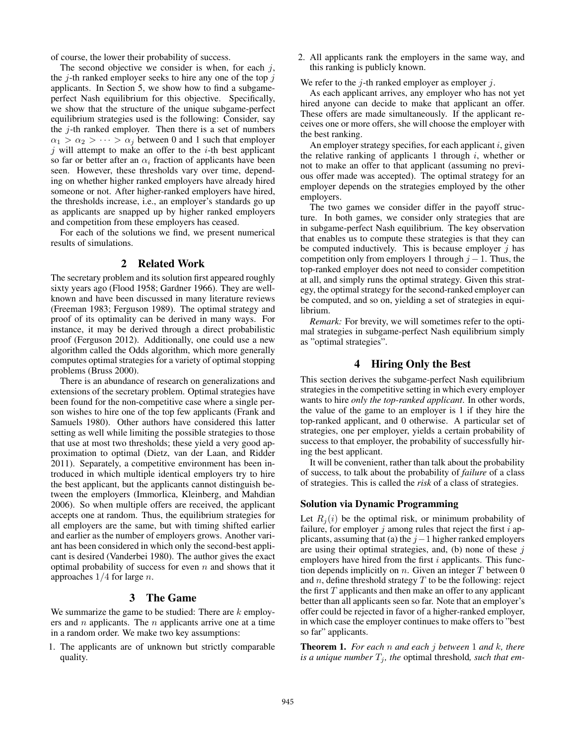of course, the lower their probability of success.

The second objective we consider is when, for each  $i$ , the  $j$ -th ranked employer seeks to hire any one of the top  $j$ applicants. In Section 5, we show how to find a subgameperfect Nash equilibrium for this objective. Specifically, we show that the structure of the unique subgame-perfect equilibrium strategies used is the following: Consider, say the  $j$ -th ranked employer. Then there is a set of numbers  $\alpha_1 > \alpha_2 > \cdots > \alpha_j$  between 0 and 1 such that employer  $j$  will attempt to make an offer to the  $i$ -th best applicant so far or better after an  $\alpha_i$  fraction of applicants have been seen. However, these thresholds vary over time, depending on whether higher ranked employers have already hired someone or not. After higher-ranked employers have hired, the thresholds increase, i.e., an employer's standards go up as applicants are snapped up by higher ranked employers and competition from these employers has ceased.

For each of the solutions we find, we present numerical results of simulations.

## 2 Related Work

The secretary problem and its solution first appeared roughly sixty years ago (Flood 1958; Gardner 1966). They are wellknown and have been discussed in many literature reviews (Freeman 1983; Ferguson 1989). The optimal strategy and proof of its optimality can be derived in many ways. For instance, it may be derived through a direct probabilistic proof (Ferguson 2012). Additionally, one could use a new algorithm called the Odds algorithm, which more generally computes optimal strategies for a variety of optimal stopping problems (Bruss 2000).

There is an abundance of research on generalizations and extensions of the secretary problem. Optimal strategies have been found for the non-competitive case where a single person wishes to hire one of the top few applicants (Frank and Samuels 1980). Other authors have considered this latter setting as well while limiting the possible strategies to those that use at most two thresholds; these yield a very good approximation to optimal (Dietz, van der Laan, and Ridder 2011). Separately, a competitive environment has been introduced in which multiple identical employers try to hire the best applicant, but the applicants cannot distinguish between the employers (Immorlica, Kleinberg, and Mahdian 2006). So when multiple offers are received, the applicant accepts one at random. Thus, the equilibrium strategies for all employers are the same, but with timing shifted earlier and earlier as the number of employers grows. Another variant has been considered in which only the second-best applicant is desired (Vanderbei 1980). The author gives the exact optimal probability of success for even  $n$  and shows that it approaches  $1/4$  for large *n*.

### 3 The Game

We summarize the game to be studied: There are  $k$  employers and  $n$  applicants. The  $n$  applicants arrive one at a time in a random order. We make two key assumptions:

1. The applicants are of unknown but strictly comparable quality.

2. All applicants rank the employers in the same way, and this ranking is publicly known.

We refer to the  $j$ -th ranked employer as employer  $j$ .

As each applicant arrives, any employer who has not yet hired anyone can decide to make that applicant an offer. These offers are made simultaneously. If the applicant receives one or more offers, she will choose the employer with the best ranking.

An employer strategy specifies, for each applicant  $i$ , given the relative ranking of applicants 1 through  $i$ , whether or not to make an offer to that applicant (assuming no previous offer made was accepted). The optimal strategy for an employer depends on the strategies employed by the other employers.

The two games we consider differ in the payoff structure. In both games, we consider only strategies that are in subgame-perfect Nash equilibrium. The key observation that enables us to compute these strategies is that they can be computed inductively. This is because employer  $j$  has competition only from employers 1 through  $j - 1$ . Thus, the top-ranked employer does not need to consider competition at all, and simply runs the optimal strategy. Given this strategy, the optimal strategy for the second-ranked employer can be computed, and so on, yielding a set of strategies in equilibrium.

*Remark:* For brevity, we will sometimes refer to the optimal strategies in subgame-perfect Nash equilibrium simply as "optimal strategies".

## 4 Hiring Only the Best

This section derives the subgame-perfect Nash equilibrium strategies in the competitive setting in which every employer wants to hire *only the top-ranked applicant*. In other words, the value of the game to an employer is 1 if they hire the top-ranked applicant, and 0 otherwise. A particular set of strategies, one per employer, yields a certain probability of success to that employer, the probability of successfully hiring the best applicant.

It will be convenient, rather than talk about the probability of success, to talk about the probability of *failure* of a class of strategies. This is called the *risk* of a class of strategies.

### Solution via Dynamic Programming

Let  $R_i(i)$  be the optimal risk, or minimum probability of failure, for employer  $j$  among rules that reject the first  $i$  applicants, assuming that (a) the  $j-1$  higher ranked employers are using their optimal strategies, and, (b) none of these  $j$ employers have hired from the first  $i$  applicants. This function depends implicitly on  $n$ . Given an integer  $T$  between 0 and n, define threshold strategy  $T$  to be the following: reject the first  $T$  applicants and then make an offer to any applicant better than all applicants seen so far. Note that an employer's offer could be rejected in favor of a higher-ranked employer, in which case the employer continues to make offers to "best so far" applicants.

Theorem 1. *For each* n *and each* j *between* 1 *and* k*, there is a unique number*  $T_j$ *, the optimal threshold, such that em-*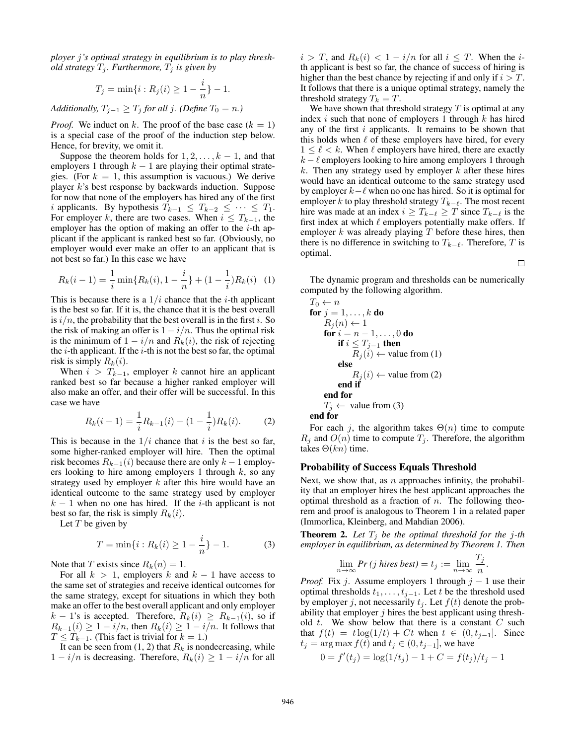*ployer* j*'s optimal strategy in equilibrium is to play threshold strategy*  $T_i$ *. Furthermore,*  $T_i$  *is given by* 

$$
T_j = \min\{i : R_j(i) \ge 1 - \frac{i}{n}\} - 1.
$$

*Additionally,*  $T_{j-1} \geq T_j$  *for all j. (Define*  $T_0 = n$ *.)* 

*Proof.* We induct on k. The proof of the base case  $(k = 1)$ is a special case of the proof of the induction step below. Hence, for brevity, we omit it.

Suppose the theorem holds for  $1, 2, \ldots, k - 1$ , and that employers 1 through  $k - 1$  are playing their optimal strategies. (For  $k = 1$ , this assumption is vacuous.) We derive player k's best response by backwards induction. Suppose for now that none of the employers has hired any of the first *i* applicants. By hypothesis  $T_{k-1} \leq T_{k-2} \leq \cdots \leq T_1$ . For employer k, there are two cases. When  $i \leq T_{k-1}$ , the employer has the option of making an offer to the  $i$ -th applicant if the applicant is ranked best so far. (Obviously, no employer would ever make an offer to an applicant that is not best so far.) In this case we have

$$
R_k(i-1) = \frac{1}{i} \min\{R_k(i), 1 - \frac{i}{n}\} + (1 - \frac{1}{i})R_k(i) \quad (1)
$$

This is because there is a  $1/i$  chance that the *i*-th applicant is the best so far. If it is, the chance that it is the best overall is  $i/n$ , the probability that the best overall is in the first i. So the risk of making an offer is  $1 - i/n$ . Thus the optimal risk is the minimum of  $1 - i/n$  and  $R_k(i)$ , the risk of rejecting the  $i$ -th applicant. If the  $i$ -th is not the best so far, the optimal risk is simply  $R_k(i)$ .

When  $i > T_{k-1}$ , employer k cannot hire an applicant ranked best so far because a higher ranked employer will also make an offer, and their offer will be successful. In this case we have

$$
R_k(i-1) = \frac{1}{i}R_{k-1}(i) + (1 - \frac{1}{i})R_k(i).
$$
 (2)

This is because in the  $1/i$  chance that i is the best so far, some higher-ranked employer will hire. Then the optimal risk becomes  $R_{k-1}(i)$  because there are only  $k-1$  employers looking to hire among employers 1 through  $k$ , so any strategy used by employer  $k$  after this hire would have an identical outcome to the same strategy used by employer  $k - 1$  when no one has hired. If the *i*-th applicant is not best so far, the risk is simply  $R_k(i)$ .

Let  $T$  be given by

$$
T = \min\{i : R_k(i) \ge 1 - \frac{i}{n}\} - 1.
$$
 (3)

Note that T exists since  $R_k(n) = 1$ .

For all  $k > 1$ , employers k and  $k - 1$  have access to the same set of strategies and receive identical outcomes for the same strategy, except for situations in which they both make an offer to the best overall applicant and only employer  $k - 1$ 's is accepted. Therefore,  $R_k(i) \geq R_{k-1}(i)$ , so if  $R_{k-1}(i) \geq 1 - i/n$ , then  $R_k(i) \geq 1 - i/n$ . It follows that  $T \leq T_{k-1}$ . (This fact is trivial for  $k = 1$ .)

It can be seen from  $(1, 2)$  that  $R_k$  is nondecreasing, while  $1 - i/n$  is decreasing. Therefore,  $R_k(i) \geq 1 - i/n$  for all  $i > T$ , and  $R_k(i) < 1 - i/n$  for all  $i \leq T$ . When the *i*th applicant is best so far, the chance of success of hiring is higher than the best chance by rejecting if and only if  $i > T$ . It follows that there is a unique optimal strategy, namely the threshold strategy  $T_k = T$ .

We have shown that threshold strategy  $T$  is optimal at any index  $i$  such that none of employers 1 through  $k$  has hired any of the first  $i$  applicants. It remains to be shown that this holds when  $\ell$  of these employers have hired, for every  $1 \leq \ell < k$ . When  $\ell$  employers have hired, there are exactly  $k - \ell$  employers looking to hire among employers 1 through  $k$ . Then any strategy used by employer  $k$  after these hires would have an identical outcome to the same strategy used by employer  $k-\ell$  when no one has hired. So it is optimal for employer k to play threshold strategy  $T_{k-\ell}$ . The most recent hire was made at an index  $i \geq T_{k-\ell} \geq T$  since  $T_{k-\ell}$  is the first index at which  $\ell$  employers potentially make offers. If employer  $k$  was already playing  $T$  before these hires, then there is no difference in switching to  $T_{k-\ell}$ . Therefore, T is optimal.

 $\Box$ 

The dynamic program and thresholds can be numerically computed by the following algorithm.

$$
T_0 \leftarrow n
$$
  
for  $j = 1, ..., k$  do  

$$
R_j(n) \leftarrow 1
$$
  
for  $i = n - 1, ..., 0$  do  
if  $i \leq T_{j-1}$  then  

$$
R_j(i) \leftarrow
$$
 value from (1)  
else  

$$
R_j(i) \leftarrow
$$
 value from (2)  
end if  
end for  

$$
T_j \leftarrow
$$
 value from (3)  
end for

For each j, the algorithm takes  $\Theta(n)$  time to compute  $R_j$  and  $O(n)$  time to compute  $T_j$ . Therefore, the algorithm takes  $\Theta(kn)$  time.

#### Probability of Success Equals Threshold

Next, we show that, as  $n$  approaches infinity, the probability that an employer hires the best applicant approaches the optimal threshold as a fraction of  $n$ . The following theorem and proof is analogous to Theorem 1 in a related paper (Immorlica, Kleinberg, and Mahdian 2006).

**Theorem 2.** Let  $T_j$  be the optimal threshold for the j-th *employer in equilibrium, as determined by Theorem 1. Then*

$$
\lim_{n \to \infty} Pr(j \text{ hires best}) = t_j := \lim_{n \to \infty} \frac{T_j}{n}.
$$

*Proof.* Fix j. Assume employers 1 through  $j - 1$  use their optimal thresholds  $t_1, \ldots, t_{j-1}$ . Let t be the threshold used by employer j, not necessarily  $t_i$ . Let  $f(t)$  denote the probability that employer  $j$  hires the best applicant using threshold t. We show below that there is a constant  $C$  such that  $f(t) = t \log(1/t) + Ct$  when  $t \in (0, t_{i-1}]$ . Since  $t_j = \arg \max f(t)$  and  $t_j \in (0, t_{j-1}]$ , we have

$$
0 = f'(t_j) = \log(1/t_j) - 1 + C = f(t_j)/t_j - 1
$$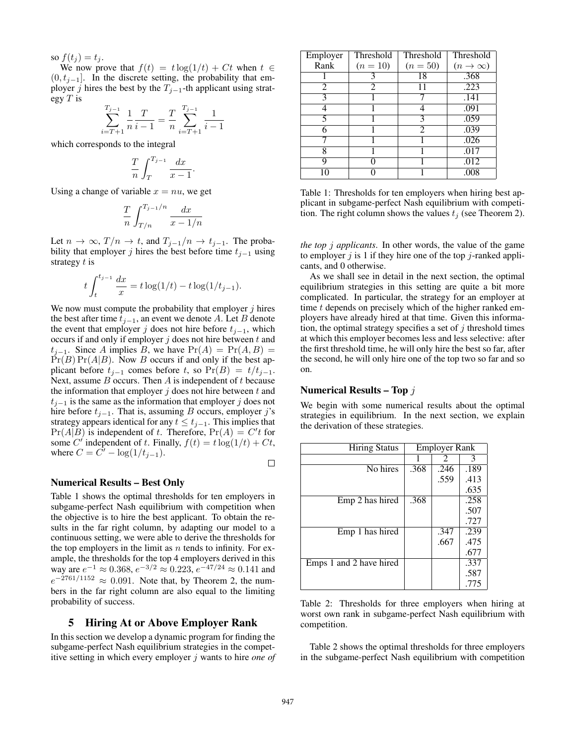so  $f(t_i) = t_i$ .

We now prove that  $f(t) = t \log(1/t) + Ct$  when  $t \in$  $(0, t_{i-1}]$ . In the discrete setting, the probability that employer j hires the best by the  $T_{j-1}$ -th applicant using strategy  $T$  is

$$
\sum_{i=T+1}^{T_{j-1}} \frac{1}{n} \frac{T}{i-1} = \frac{T}{n} \sum_{i=T+1}^{T_{j-1}} \frac{1}{i-1}
$$

which corresponds to the integral

$$
\frac{T}{n} \int_{T}^{T_{j-1}} \frac{dx}{x-1}.
$$

Using a change of variable  $x = nu$ , we get

$$
\frac{T}{n} \int_{T/n}^{T_{j-1}/n} \frac{dx}{x - 1/n}
$$

Let  $n \to \infty$ ,  $T/n \to t$ , and  $T_{j-1}/n \to t_{j-1}$ . The probability that employer j hires the best before time  $t_{j-1}$  using strategy  $t$  is

$$
t \int_{t}^{t_{j-1}} \frac{dx}{x} = t \log(1/t) - t \log(1/t_{j-1}).
$$

We now must compute the probability that employer  $j$  hires the best after time  $t_{j-1}$ , an event we denote A. Let B denote the event that employer j does not hire before  $t_{i-1}$ , which occurs if and only if employer  $j$  does not hire between  $t$  and  $t_{i-1}$ . Since A implies B, we have  $Pr(A) = Pr(A, B)$  $Pr(B) Pr(A|B)$ . Now B occurs if and only if the best applicant before  $t_{j-1}$  comes before t, so Pr(B) =  $t/t_{j-1}$ . Next, assume  $B$  occurs. Then  $A$  is independent of  $t$  because the information that employer  $j$  does not hire between  $t$  and  $t_{i-1}$  is the same as the information that employer j does not hire before  $t_{j-1}$ . That is, assuming B occurs, employer j's strategy appears identical for any  $t \le t_{j-1}$ . This implies that  $Pr(A|B)$  is independent of t. Therefore,  $Pr(A) = C't$  for some C' independent of t. Finally,  $f(t) = t \log(1/t) + Ct$ , where  $C = \tilde{C'} - \log(1/t_{j-1}).$  $\Box$ 

#### Numerical Results – Best Only

Table 1 shows the optimal thresholds for ten employers in subgame-perfect Nash equilibrium with competition when the objective is to hire the best applicant. To obtain the results in the far right column, by adapting our model to a continuous setting, we were able to derive the thresholds for the top employers in the limit as  $n$  tends to infinity. For example, the thresholds for the top 4 employers derived in this way are  $e^{-1} \approx 0.368$ ,  $e^{-3/2} \approx 0.223$ ,  $e^{-47/24} \approx 0.141$  and  $e^{-2761/1152} \approx 0.091$ . Note that, by Theorem 2, the numbers in the far right column are also equal to the limiting probability of success.

## 5 Hiring At or Above Employer Rank

In this section we develop a dynamic program for finding the subgame-perfect Nash equilibrium strategies in the competitive setting in which every employer j wants to hire *one of*

| Employer | Threshold  | Threshold      | Threshold        |
|----------|------------|----------------|------------------|
| Rank     | $(n = 10)$ | $(n = 50)$     | $(n \to \infty)$ |
|          |            | 18             | .368             |
| 2        | 2          |                | .223             |
| 3        |            |                | .141             |
|          |            | 4              | .091             |
| 5        |            | 3              | .059             |
|          |            | $\mathfrak{D}$ | .039             |
|          |            |                | .026             |
| Ջ        |            |                | .017             |
| Q        |            |                | .012             |
|          |            |                | .008             |

Table 1: Thresholds for ten employers when hiring best applicant in subgame-perfect Nash equilibrium with competition. The right column shows the values  $t_i$  (see Theorem 2).

*the top* j *applicants*. In other words, the value of the game to employer j is 1 if they hire one of the top j-ranked applicants, and 0 otherwise.

As we shall see in detail in the next section, the optimal equilibrium strategies in this setting are quite a bit more complicated. In particular, the strategy for an employer at time t depends on precisely which of the higher ranked employers have already hired at that time. Given this information, the optimal strategy specifies a set of  $j$  threshold times at which this employer becomes less and less selective: after the first threshold time, he will only hire the best so far, after the second, he will only hire one of the top two so far and so on.

### Numerical Results – Top j

We begin with some numerical results about the optimal strategies in equilibrium. In the next section, we explain the derivation of these strategies.

| <b>Hiring Status</b>    | <b>Employer Rank</b> |      |      |
|-------------------------|----------------------|------|------|
|                         |                      | 2    | 3    |
| No hires                | .368                 | .246 | .189 |
|                         |                      | .559 | .413 |
|                         |                      |      | .635 |
| Emp 2 has hired         | .368                 |      | .258 |
|                         |                      |      | .507 |
|                         |                      |      | .727 |
| Emp 1 has hired         |                      | .347 | .239 |
|                         |                      | .667 | .475 |
|                         |                      |      | .677 |
| Emps 1 and 2 have hired |                      |      | .337 |
|                         |                      |      | .587 |
|                         |                      |      | .775 |

Table 2: Thresholds for three employers when hiring at worst own rank in subgame-perfect Nash equilibrium with competition.

Table 2 shows the optimal thresholds for three employers in the subgame-perfect Nash equilibrium with competition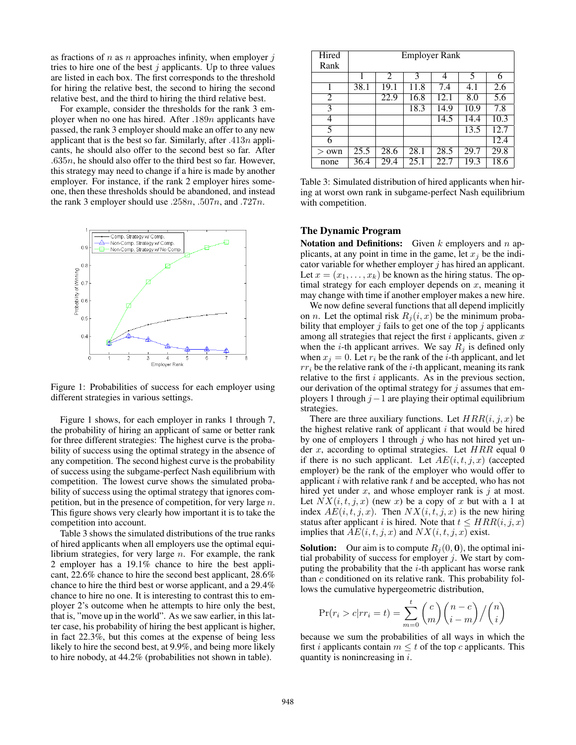as fractions of n as n approaches infinity, when employer  $j$ tries to hire one of the best  $j$  applicants. Up to three values are listed in each box. The first corresponds to the threshold for hiring the relative best, the second to hiring the second relative best, and the third to hiring the third relative best.

For example, consider the thresholds for the rank 3 employer when no one has hired. After  $.189n$  applicants have passed, the rank 3 employer should make an offer to any new applicant that is the best so far. Similarly, after  $.413n$  applicants, he should also offer to the second best so far. After  $.635n$ , he should also offer to the third best so far. However, this strategy may need to change if a hire is made by another employer. For instance, if the rank 2 employer hires someone, then these thresholds should be abandoned, and instead the rank 3 employer should use .258n, .507n, and .727n.



Figure 1: Probabilities of success for each employer using different strategies in various settings.

Figure 1 shows, for each employer in ranks 1 through 7, the probability of hiring an applicant of same or better rank for three different strategies: The highest curve is the probability of success using the optimal strategy in the absence of any competition. The second highest curve is the probability of success using the subgame-perfect Nash equilibrium with competition. The lowest curve shows the simulated probability of success using the optimal strategy that ignores competition, but in the presence of competition, for very large  $n$ . This figure shows very clearly how important it is to take the competition into account.

Table 3 shows the simulated distributions of the true ranks of hired applicants when all employers use the optimal equilibrium strategies, for very large  $n$ . For example, the rank 2 employer has a 19.1% chance to hire the best applicant, 22.6% chance to hire the second best applicant, 28.6% chance to hire the third best or worse applicant, and a 29.4% chance to hire no one. It is interesting to contrast this to employer 2's outcome when he attempts to hire only the best, that is, "move up in the world". As we saw earlier, in this latter case, his probability of hiring the best applicant is higher, in fact 22.3%, but this comes at the expense of being less likely to hire the second best, at 9.9%, and being more likely to hire nobody, at 44.2% (probabilities not shown in table).

| Hired         | <b>Employer Rank</b> |                |                   |      |      |                   |  |
|---------------|----------------------|----------------|-------------------|------|------|-------------------|--|
| Rank          |                      |                |                   |      |      |                   |  |
|               | 1                    | $\mathfrak{D}$ | 3                 | 4    | 5    | 6                 |  |
|               | 38.1                 | 19.1           | 11.8              | 7.4  | 4.1  | 2.6               |  |
| 2             |                      | 22.9           | 16.8              | 12.1 | 8.0  | 5.6               |  |
| 3             |                      |                | 18.3              | 14.9 | 10.9 | 7.8               |  |
| 4             |                      |                |                   | 14.5 | 14.4 | 10.3              |  |
| 5             |                      |                |                   |      | 13.5 | 12.7              |  |
| 6             |                      |                |                   |      |      | $\overline{12.4}$ |  |
| own<br>$\geq$ | $\overline{25.5}$    | 28.6           | $\overline{28.1}$ | 28.5 | 29.7 | 29.8              |  |
| none          | 36.4                 | 29.4           | 25.1              | 22.7 | 19.3 | 18.6              |  |

Table 3: Simulated distribution of hired applicants when hiring at worst own rank in subgame-perfect Nash equilibrium with competition.

## The Dynamic Program

Notation and Definitions: Given  $k$  employers and  $n$  applicants, at any point in time in the game, let  $x_i$  be the indicator variable for whether employer  $j$  has hired an applicant. Let  $x = (x_1, \ldots, x_k)$  be known as the hiring status. The optimal strategy for each employer depends on  $x$ , meaning it may change with time if another employer makes a new hire.

We now define several functions that all depend implicitly on *n*. Let the optimal risk  $R_i (i, x)$  be the minimum probability that employer  $j$  fails to get one of the top  $j$  applicants among all strategies that reject the first  $i$  applicants, given  $x$ when the *i*-th applicant arrives. We say  $R_j$  is defined only when  $x_j = 0$ . Let  $r_i$  be the rank of the *i*-th applicant, and let  $rr_i$  be the relative rank of the *i*-th applicant, meaning its rank relative to the first  $i$  applicants. As in the previous section, our derivation of the optimal strategy for  $j$  assumes that employers 1 through  $j-1$  are playing their optimal equilibrium strategies.

There are three auxiliary functions. Let  $HRR(i, j, x)$  be the highest relative rank of applicant  $i$  that would be hired by one of employers 1 through  $j$  who has not hired yet under  $x$ , according to optimal strategies. Let  $HRR$  equal 0 if there is no such applicant. Let  $AE(i, t, j, x)$  (accepted employer) be the rank of the employer who would offer to applicant  $i$  with relative rank  $t$  and be accepted, who has not hired yet under  $x$ , and whose employer rank is  $j$  at most. Let  $NX(i, t, j, x)$  (new x) be a copy of x but with a 1 at index  $AE(i, t, j, x)$ . Then  $NX(i, t, j, x)$  is the new hiring status after applicant i is hired. Note that  $t \leq HRR(i, j, x)$ implies that  $AE(i, t, j, x)$  and  $NX(i, t, j, x)$  exist.

**Solution:** Our aim is to compute  $R_i(0, 0)$ , the optimal initial probability of success for employer  $j$ . We start by computing the probability that the  $i$ -th applicant has worse rank than  $c$  conditioned on its relative rank. This probability follows the cumulative hypergeometric distribution,

$$
\Pr(r_i > c | rr_i = t) = \sum_{m=0}^t \binom{c}{m} \binom{n-c}{i-m} / \binom{n}{i}
$$

because we sum the probabilities of all ways in which the first *i* applicants contain  $m \leq t$  of the top *c* applicants. This quantity is nonincreasing in i.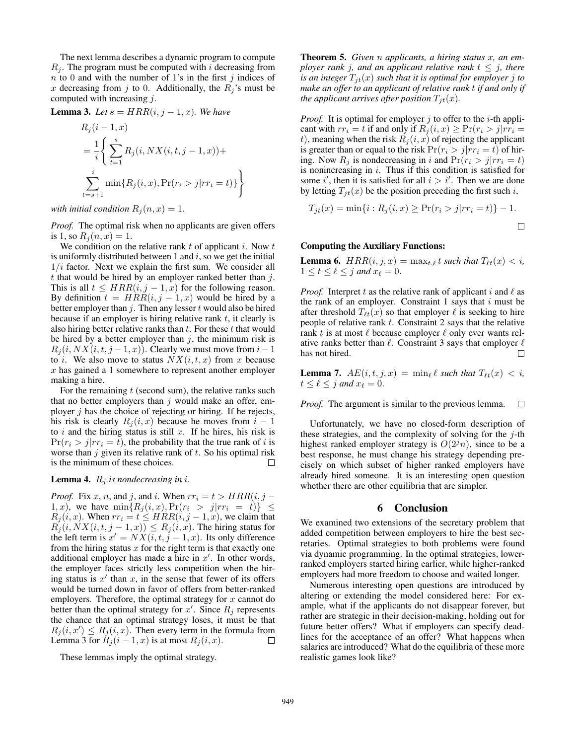The next lemma describes a dynamic program to compute  $R_i$ . The program must be computed with i decreasing from  $n$  to 0 and with the number of 1's in the first j indices of x decreasing from j to 0. Additionally, the  $R_j$ 's must be computed with increasing  $j$ .

**Lemma 3.** Let  $s = HRR(i, j-1, x)$ . We have

$$
R_j(i-1, x)
$$
  
=  $\frac{1}{i} \left\{ \sum_{t=1}^s R_j(i, N X(i, t, j-1, x)) + \sum_{t=s+1}^i \min\{R_j(i, x), \Pr(r_i > j | rr_i = t)\} \right\}$ 

*with initial condition*  $R_j(n, x) = 1$ .

*Proof.* The optimal risk when no applicants are given offers is 1, so  $R_i(n, x) = 1$ .

We condition on the relative rank  $t$  of applicant  $i$ . Now  $t$ is uniformly distributed between 1 and  $i$ , so we get the initial  $1/i$  factor. Next we explain the first sum. We consider all t that would be hired by an employer ranked better than  $j$ . This is all  $t \leq HRR(i, j-1, x)$  for the following reason. By definition  $t = HRR(i, j - 1, x)$  would be hired by a better employer than  $j$ . Then any lesser  $t$  would also be hired because if an employer is hiring relative rank  $t$ , it clearly is also hiring better relative ranks than  $t$ . For these  $t$  that would be hired by a better employer than  $j$ , the minimum risk is  $R_i(i, N X(i, t, j-1, x))$ . Clearly we must move from  $i-1$ to *i*. We also move to status  $NX(i, t, x)$  from x because x has gained a 1 somewhere to represent another employer making a hire.

For the remaining  $t$  (second sum), the relative ranks such that no better employers than  $j$  would make an offer, employer  $j$  has the choice of rejecting or hiring. If he rejects, his risk is clearly  $R_i(i, x)$  because he moves from  $i - 1$ to i and the hiring status is still x. If he hires, his risk is  $Pr(r_i > j | rr_i = t)$ , the probability that the true rank of i is worse than  $j$  given its relative rank of  $t$ . So his optimal risk is the minimum of these choices.  $\Box$ 

#### **Lemma 4.**  $R_j$  *is nondecreasing in i.*

*Proof.* Fix x, n, and j, and i. When  $rr_i = t > HRR(i, j - j)$ 1, x), we have  $\min\{R_j(i, x), \Pr(r_i > j | rr_i = t)\} \leq$  $R_j(i, x)$ . When  $rr_i = t \leq HRR(i, j-1, x)$ , we claim that  $R_j(i, N X(i, t, j-1, x)) \leq R_j(i, x)$ . The hiring status for the left term is  $x' = N\ddot{X}(i, t, \dot{j} - 1, x)$ . Its only difference from the hiring status  $x$  for the right term is that exactly one additional employer has made a hire in  $x'$ . In other words, the employer faces strictly less competition when the hiring status is  $x'$  than  $x$ , in the sense that fewer of its offers would be turned down in favor of offers from better-ranked employers. Therefore, the optimal strategy for  $x$  cannot do better than the optimal strategy for  $x'$ . Since  $R_j$  represents the chance that an optimal strategy loses, it must be that  $R_j(i, x') \leq R_j(i, x)$ . Then every term in the formula from Lemma 3 for  $\tilde{R}_j (i - 1, x)$  is at most  $R_j (i, x)$ .  $\Box$ 

These lemmas imply the optimal strategy.

Theorem 5. *Given* n *applicants, a hiring status* x*, an employer rank j, and an applicant relative rank*  $t \leq j$ *, there is an integer*  $T_{it}(x)$  *such that it is optimal for employer j to make an offer to an applicant of relative rank* t *if and only if the applicant arrives after position*  $T_{it}(x)$ *.* 

*Proof.* It is optimal for employer  $j$  to offer to the  $i$ -th applicant with  $rr_i = t$  if and only if  $R_i(i, x) \geq \Pr(r_i > j | rr_i =$ t), meaning when the risk  $R_j(i, x)$  of rejecting the applicant is greater than or equal to the risk  $Pr(r_i > j | rr_i = t)$  of hiring. Now  $R_j$  is nondecreasing in i and  $Pr(r_i > j | rr_i = t)$ is nonincreasing in  $i$ . Thus if this condition is satisfied for some i', then it is satisfied for all  $i > i'$ . Then we are done by letting  $T_{jt}(x)$  be the position preceding the first such i,

$$
T_{jt}(x) = \min\{i : R_j(i, x) \ge \Pr(r_i > j | rr_i = t)\} - 1.
$$

## Computing the Auxiliary Functions:

**Lemma 6.**  $HRR(i, j, x) = \max_{t,\ell} t$  *such that*  $T_{\ell t}(x) < i$ ,  $1 \leq t \leq \ell \leq j$  and  $x_{\ell} = 0$ .

*Proof.* Interpret t as the relative rank of applicant i and  $\ell$  as the rank of an employer. Constraint 1 says that  $i$  must be after threshold  $T_{\ell t}(x)$  so that employer  $\ell$  is seeking to hire people of relative rank  $t$ . Constraint 2 says that the relative rank t is at most  $\ell$  because employer  $\ell$  only ever wants relative ranks better than  $\ell$ . Constraint 3 says that employer  $\ell$ has not hired.  $\Box$ 

**Lemma 7.**  $AE(i, t, j, x) = \min_{\ell} \ell$  such that  $T_{\ell t}(x) < i$ ,  $t \leq \ell \leq j$  and  $x_{\ell} = 0$ .

*Proof.* The argument is similar to the previous lemma.  $\Box$ 

Unfortunately, we have no closed-form description of these strategies, and the complexity of solving for the  $j$ -th highest ranked employer strategy is  $O(2^{j}n)$ , since to be a best response, he must change his strategy depending precisely on which subset of higher ranked employers have already hired someone. It is an interesting open question whether there are other equilibria that are simpler.

## 6 Conclusion

We examined two extensions of the secretary problem that added competition between employers to hire the best secretaries. Optimal strategies to both problems were found via dynamic programming. In the optimal strategies, lowerranked employers started hiring earlier, while higher-ranked employers had more freedom to choose and waited longer.

Numerous interesting open questions are introduced by altering or extending the model considered here: For example, what if the applicants do not disappear forever, but rather are strategic in their decision-making, holding out for future better offers? What if employers can specify deadlines for the acceptance of an offer? What happens when salaries are introduced? What do the equilibria of these more realistic games look like?